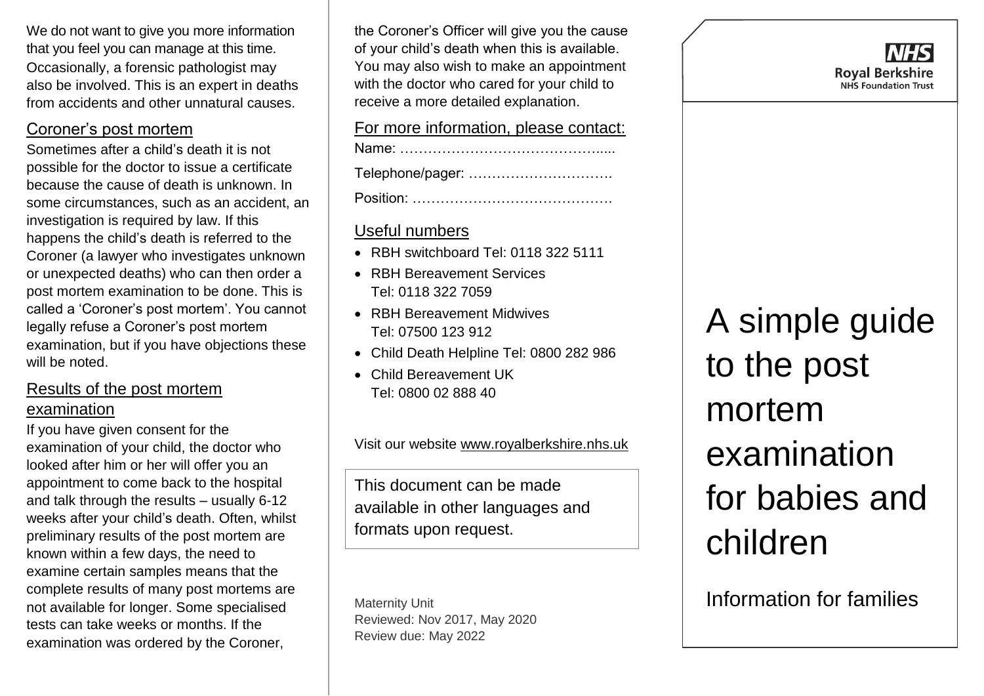We do not want to give you more information that you feel you can manage at this time. Occasionally, a forensic pathologist may also be involved. This is an expert in deaths from accidents and other unnatural causes.

# Coroner's post mortem

Sometimes after a child's death it is not possible for the doctor to issue a certificate because the cause of death is unknown. In some circumstances, such as an accident, an investigation is required by law. If this happens the child's death is referred to the Coroner (a lawyer who investigates unknown or unexpected deaths) who can then order a post mortem examination to be done. This is called a 'Coroner's post mortem'. You cannot legally refuse a Coroner's post mortem examination, but if you have objections these will be noted.

# Results of the post mortem examination

If you have given consent for the examination of your child, the doctor who looked after him or her will offer you an appointment to come back to the hospital and talk through the results – usually 6-12 weeks after your child's death. Often, whilst preliminary results of the post mortem are known within a few days, the need to examine certain samples means that the complete results of many post mortems are not available for longer. Some specialised tests can take weeks or months. If the examination was ordered by the Coroner,

the Coroner's Officer will give you the cause of your child's death when this is available. You may also wish to make an appointment with the doctor who cared for your child to receive a more detailed explanation.

#### For more information, please contact:

| Telephone/pager: |
|------------------|
|                  |

## Useful numbers

- RBH switchboard Tel: 0118 322 5111
- RBH Bereavement Services Tel: 0118 322 7059
- RBH Bereavement Midwives Tel: 07500 123 912
- Child Death Helpline Tel: 0800 282 986
- Child Bereavement UK Tel: 0800 02 888 40

Visit our website [www.royalberkshire.nhs.uk](http://www.royalberkshire.nhs.uk/)

This document can be made available in other languages and formats upon request.

Maternity Unit Reviewed: Nov 2017, May 2020 Review due: May 2022

A simple guide to the post mortem examination for babies and children

Information for families

VHS **Roval Berkshire NHS Foundation Trust**